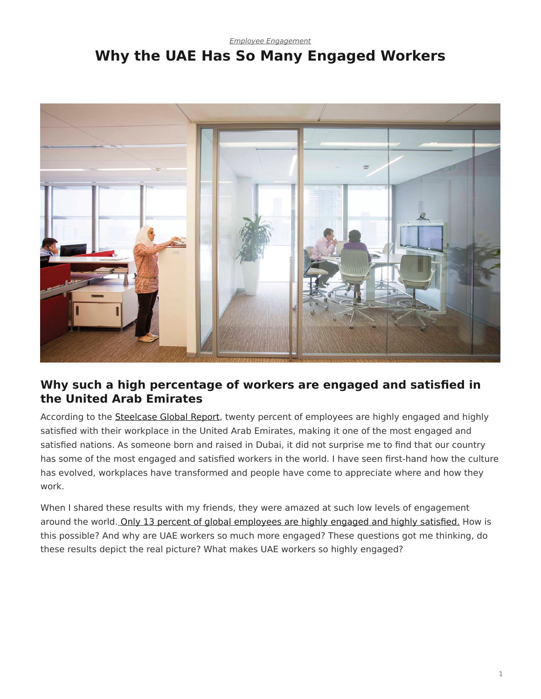## <span id="page-0-0"></span>*[Employee Engagement](https://www.steelcase.com/research/topics/employee-engagement/)* **Why the UAE Has So Many Engaged Workers**



## **Why such a high percentage of workers are engaged and satisfied in the United Arab Emirates**

According to the **Steelcase Global Report**, twenty percent of employees are highly engaged and highly satisfied with their workplace in the United Arab Emirates, making it one of the most engaged and satisfied nations. As someone born and raised in Dubai, it did not surprise me to find that our country has some of the most engaged and satisfied workers in the world. I have seen first-hand how the culture has evolved, workplaces have transformed and people have come to appreciate where and how they work.

When I shared these results with my friends, they were amazed at such low levels of engagement around the world. [Only 13 percent of global employees are highly engaged and highly satisfied.](https://www.steelcase.com/blog/why-employee-engagement-matters/) How is this possible? And why are UAE workers so much more engaged? These questions got me thinking, do these results depict the real picture? What makes UAE workers so highly engaged?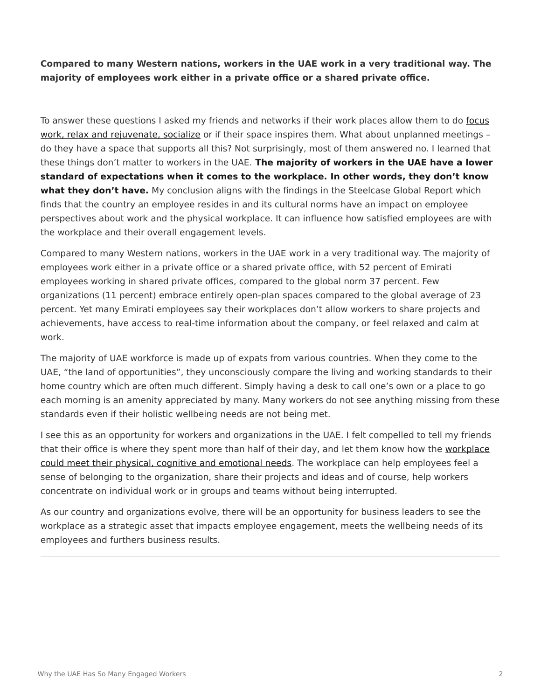**Compared to many Western nations, workers in the UAE work in a very traditional way. The majority of employees work either in a private office or a shared private office.**

To answer these questions I asked my friends and networks if their work places allow them to do [focus](https://www.steelcase.com/spaces-inspiration/resilient-workplace/) [work, relax and rejuvenate, socialize](https://www.steelcase.com/spaces-inspiration/resilient-workplace/) or if their space inspires them. What about unplanned meetings – do they have a space that supports all this? Not surprisingly, most of them answered no. I learned that these things don't matter to workers in the UAE. **The majority of workers in the UAE have a lower standard of expectations when it comes to the workplace. In other words, they don't know what they don't have.** My conclusion aligns with the findings in the Steelcase Global Report which finds that the country an employee resides in and its cultural norms have an impact on employee perspectives about work and the physical workplace. It can influence how satisfied employees are with the workplace and their overall engagement levels.

Compared to many Western nations, workers in the UAE work in a very traditional way. The majority of employees work either in a private office or a shared private office, with 52 percent of Emirati employees working in shared private offices, compared to the global norm 37 percent. Few organizations (11 percent) embrace entirely open-plan spaces compared to the global average of 23 percent. Yet many Emirati employees say their workplaces don't allow workers to share projects and achievements, have access to real-time information about the company, or feel relaxed and calm at work.

The majority of UAE workforce is made up of expats from various countries. When they come to the UAE, "the land of opportunities", they unconsciously compare the living and working standards to their home country which are often much different. Simply having a desk to call one's own or a place to go each morning is an amenity appreciated by many. Many workers do not see anything missing from these standards even if their holistic wellbeing needs are not being met.

I see this as an opportunity for workers and organizations in the UAE. I felt compelled to tell my friends that their office is where they spent more than half of their day, and let them know how the [workplace](https://www.steelcase.com/spaces-inspiration/resilient-workplace/) [could meet their physical, cognitive and emotional needs](https://www.steelcase.com/spaces-inspiration/resilient-workplace/). The workplace can help employees feel a sense of belonging to the organization, share their projects and ideas and of course, help workers concentrate on individual work or in groups and teams without being interrupted.

As our country and organizations evolve, there will be an opportunity for business leaders to see the workplace as a strategic asset that impacts employee engagement, meets the wellbeing needs of its employees and furthers business results.